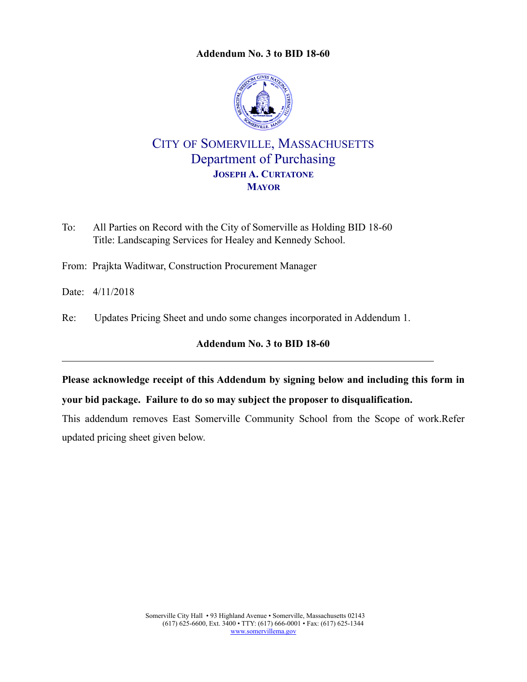<span id="page-0-0"></span>

# CITY OF SOMERVILLE, MASSACHUSETTS Department of Purchasing **JOSEPH A. CURTATONE MAYOR**

- To: All Parties on Record with the City of Somerville as Holding BID 18-60 Title: Landscaping Services for Healey and Kennedy School.
- From: Prajkta Waditwar, Construction Procurement Manager
- Date: 4/11/2018
- Re: Updates Pricing Sheet and undo some changes incorporated in Addendum 1.

# **Addendum No. 3 to [BID 18-60](#page-0-0)**

**Please acknowledge receipt of this Addendum by signing below and including this form in your bid package. Failure to do so may subject the proposer to disqualification.**

This addendum removes East Somerville Community School from the Scope of work.Refer updated pricing sheet given below.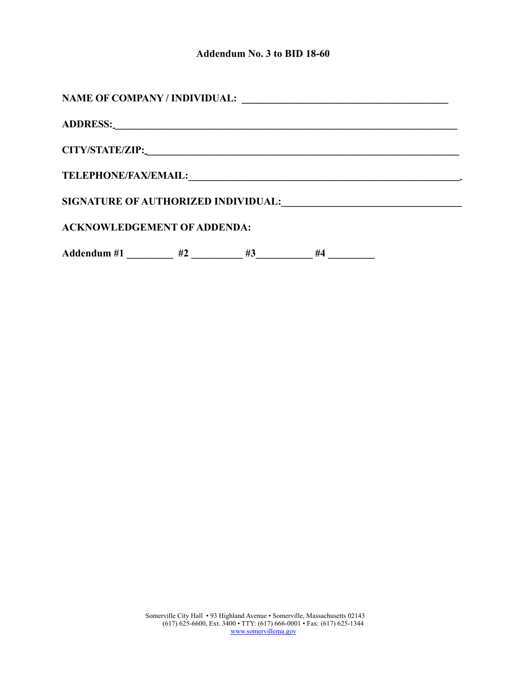| <b>NAME OF COMPANY / INDIVIDUAL:</b>                                                                                                                |    |    | <u> 1980 - Jan Stein Stein Stein Stein Stein Stein Stein Stein Stein Stein Stein Stein Stein Stein Stein Stein S</u> |  |  |  |  |  |
|-----------------------------------------------------------------------------------------------------------------------------------------------------|----|----|----------------------------------------------------------------------------------------------------------------------|--|--|--|--|--|
|                                                                                                                                                     |    |    |                                                                                                                      |  |  |  |  |  |
|                                                                                                                                                     |    |    |                                                                                                                      |  |  |  |  |  |
| <b>TELEPHONE/FAX/EMAIL:</b><br><u> 1980 - Jan Samuel Barbara, martin da shekarar 1980 - An tsara a shekara 1980 - An tsara 1980 - An tsara 1980</u> |    |    |                                                                                                                      |  |  |  |  |  |
| <b>SIGNATURE OF AUTHORIZED INDIVIDUAL:</b>                                                                                                          |    |    |                                                                                                                      |  |  |  |  |  |
| <b>ACKNOWLEDGEMENT OF ADDENDA:</b>                                                                                                                  |    |    |                                                                                                                      |  |  |  |  |  |
| Addendum #1                                                                                                                                         | #2 | #3 | #4                                                                                                                   |  |  |  |  |  |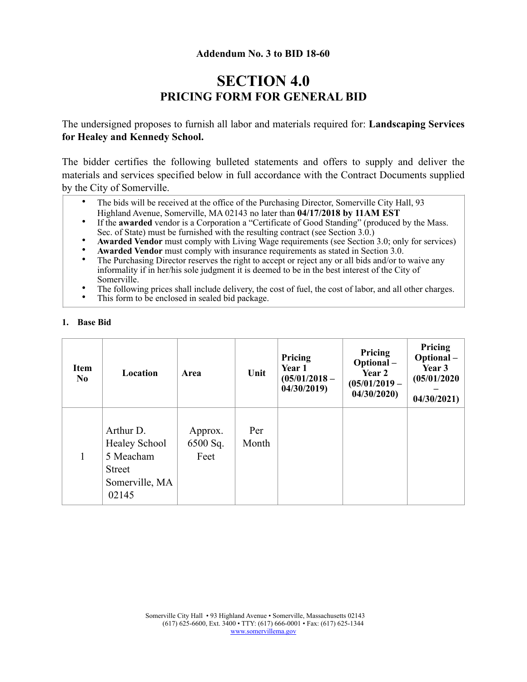# **SECTION 4.0 PRICING FORM FOR GENERAL BID**

The undersigned proposes to furnish all labor and materials required for: **Landscaping Services for Healey and Kennedy School.** 

The bidder certifies the following bulleted statements and offers to supply and deliver the materials and services specified below in full accordance with the Contract Documents supplied by the City of Somerville.

- The bids will be received at the office of the Purchasing Director, Somerville City Hall, 93 Highland Avenue, Somerville, MA 02143 no later than **04/17/2018 by 11AM EST**
- If the **awarded** vendor is a Corporation a "Certificate of Good Standing" (produced by the Mass. Sec. of State) must be furnished with the resulting contract (see Section 3.0.)
- **Awarded Vendor** must comply with Living Wage requirements (see Section 3.0; only for services)
- **Awarded Vendor** must comply with insurance requirements as stated in Section 3.0.<br>• The Purchasing Director receives the right to accept or reject any or all hide and/or to
- The Purchasing Director reserves the right to accept or reject any or all bids and/or to waive any informality if in her/his sole judgment it is deemed to be in the best interest of the City of Somerville.
- The following prices shall include delivery, the cost of fuel, the cost of labor, and all other charges.<br>• This form to be englosed in soaled bid package.
- This form to be enclosed in sealed bid package.

| <b>Item</b><br>N <sub>0</sub> | Location                                                                                   | Area                        | Unit         | Pricing<br>Year 1<br>$(05/01/2018 -$<br>04/30/2019 | Pricing<br>Optional-<br>Year 2<br>$(05/01/2019 -$<br>04/30/2020 | Pricing<br>Optional-<br>Year 3<br>(05/01/2020)<br>04/30/2021 |
|-------------------------------|--------------------------------------------------------------------------------------------|-----------------------------|--------------|----------------------------------------------------|-----------------------------------------------------------------|--------------------------------------------------------------|
| 1                             | Arthur D.<br><b>Healey School</b><br>5 Meacham<br><b>Street</b><br>Somerville, MA<br>02145 | Approx.<br>6500 Sq.<br>Feet | Per<br>Month |                                                    |                                                                 |                                                              |

#### **1. Base Bid**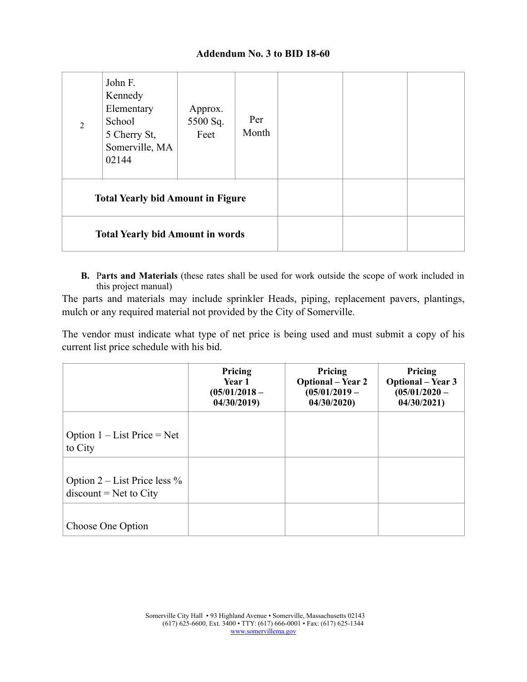| $\mathcal{D}_{\mathcal{L}}$             | John F.<br>Kennedy<br>Elementary<br>School<br>5 Cherry St,<br>Somerville, MA<br>02144 | Approx.<br>5500 Sq.<br>Feet | Per<br>Month |  |  |
|-----------------------------------------|---------------------------------------------------------------------------------------|-----------------------------|--------------|--|--|
|                                         | <b>Total Yearly bid Amount in Figure</b>                                              |                             |              |  |  |
| <b>Total Yearly bid Amount in words</b> |                                                                                       |                             |              |  |  |

**B.** P**arts and Materials** (these rates shall be used for work outside the scope of work included in this project manual)

The parts and materials may include sprinkler Heads, piping, replacement pavers, plantings, mulch or any required material not provided by the City of Somerville.

The vendor must indicate what type of net price is being used and must submit a copy of his current list price schedule with his bid.

|                                                               | Pricing<br><b>Year 1</b><br>$(05/01/2018 -$<br>04/30/2019 | Pricing<br><b>Optional</b> – Year 2<br>$(05/01/2019 -$<br>04/30/2020 | Pricing<br><b>Optional</b> – Year 3<br>$(05/01/2020 -$<br>04/30/2021 |
|---------------------------------------------------------------|-----------------------------------------------------------|----------------------------------------------------------------------|----------------------------------------------------------------------|
| Option $1 - List Price = Net$<br>to City                      |                                                           |                                                                      |                                                                      |
| Option $2$ – List Price less $\%$<br>$discount = Net to City$ |                                                           |                                                                      |                                                                      |
| Choose One Option                                             |                                                           |                                                                      |                                                                      |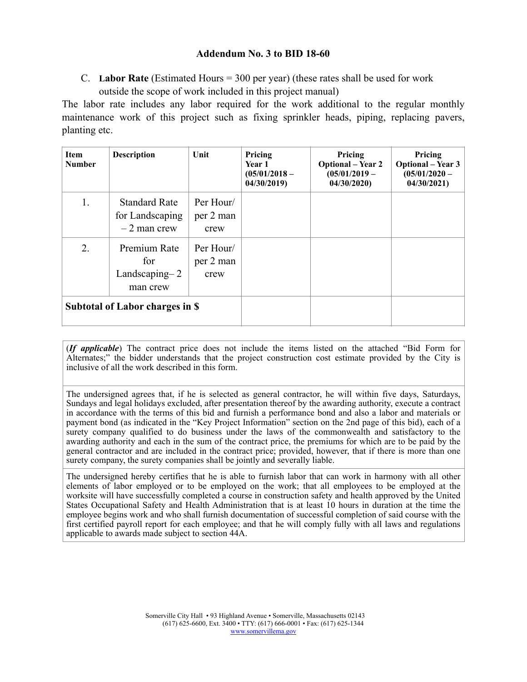C. **Labor Rate** (Estimated Hours = 300 per year) (these rates shall be used for work outside the scope of work included in this project manual)

The labor rate includes any labor required for the work additional to the regular monthly maintenance work of this project such as fixing sprinkler heads, piping, replacing pavers, planting etc.

| <b>Item</b><br><b>Number</b>    | <b>Description</b>                                       | Unit                           | Pricing<br><b>Year 1</b><br>$(05/01/2018 -$<br>04/30/2019 | Pricing<br><b>Optional</b> – Year 2<br>$(05/01/2019 -$<br>04/30/2020 | Pricing<br><b>Optional</b> – Year 3<br>$(05/01/2020 -$<br>04/30/2021 |
|---------------------------------|----------------------------------------------------------|--------------------------------|-----------------------------------------------------------|----------------------------------------------------------------------|----------------------------------------------------------------------|
| 1.                              | <b>Standard Rate</b><br>for Landscaping<br>$-2$ man crew | Per Hour/<br>per 2 man<br>crew |                                                           |                                                                      |                                                                      |
| 2.                              | Premium Rate<br>for<br>Landscaping $-2$<br>man crew      | Per Hour/<br>per 2 man<br>crew |                                                           |                                                                      |                                                                      |
| Subtotal of Labor charges in \$ |                                                          |                                |                                                           |                                                                      |                                                                      |

(*If applicable*) The contract price does not include the items listed on the attached "Bid Form for Alternates;" the bidder understands that the project construction cost estimate provided by the City is inclusive of all the work described in this form.

The undersigned agrees that, if he is selected as general contractor, he will within five days, Saturdays, Sundays and legal holidays excluded, after presentation thereof by the awarding authority, execute a contract in accordance with the terms of this bid and furnish a performance bond and also a labor and materials or payment bond (as indicated in the "Key Project Information" section on the 2nd page of this bid), each of a surety company qualified to do business under the laws of the commonwealth and satisfactory to the awarding authority and each in the sum of the contract price, the premiums for which are to be paid by the general contractor and are included in the contract price; provided, however, that if there is more than one surety company, the surety companies shall be jointly and severally liable.

The undersigned hereby certifies that he is able to furnish labor that can work in harmony with all other elements of labor employed or to be employed on the work; that all employees to be employed at the worksite will have successfully completed a course in construction safety and health approved by the United States Occupational Safety and Health Administration that is at least 10 hours in duration at the time the employee begins work and who shall furnish documentation of successful completion of said course with the first certified payroll report for each employee; and that he will comply fully with all laws and regulations applicable to awards made subject to section 44A.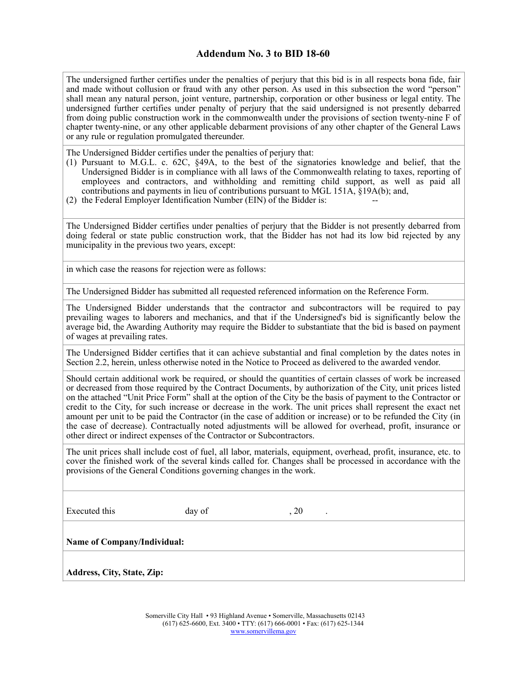The undersigned further certifies under the penalties of perjury that this bid is in all respects bona fide, fair and made without collusion or fraud with any other person. As used in this subsection the word "person" shall mean any natural person, joint venture, partnership, corporation or other business or legal entity. The undersigned further certifies under penalty of perjury that the said undersigned is not presently debarred from doing public construction work in the commonwealth under the provisions of section twenty-nine F of chapter twenty-nine, or any other applicable debarment provisions of any other chapter of the General Laws or any rule or regulation promulgated thereunder.

The Undersigned Bidder certifies under the penalties of perjury that:

- (1) Pursuant to M.G.L. c. 62C, §49A, to the best of the signatories knowledge and belief, that the Undersigned Bidder is in compliance with all laws of the Commonwealth relating to taxes, reporting of employees and contractors, and withholding and remitting child support, as well as paid all contributions and payments in lieu of contributions pursuant to MGL 151A, §19A(b); and,
- $(2)$  the Federal Employer Identification Number (EIN) of the Bidder is:

The Undersigned Bidder certifies under penalties of perjury that the Bidder is not presently debarred from doing federal or state public construction work, that the Bidder has not had its low bid rejected by any municipality in the previous two years, except:

in which case the reasons for rejection were as follows:

The Undersigned Bidder has submitted all requested referenced information on the Reference Form.

The Undersigned Bidder understands that the contractor and subcontractors will be required to pay prevailing wages to laborers and mechanics, and that if the Undersigned's bid is significantly below the average bid, the Awarding Authority may require the Bidder to substantiate that the bid is based on payment of wages at prevailing rates.

The Undersigned Bidder certifies that it can achieve substantial and final completion by the dates notes in Section 2.2, herein, unless otherwise noted in the Notice to Proceed as delivered to the awarded vendor.

Should certain additional work be required, or should the quantities of certain classes of work be increased or decreased from those required by the Contract Documents, by authorization of the City, unit prices listed on the attached "Unit Price Form" shall at the option of the City be the basis of payment to the Contractor or credit to the City, for such increase or decrease in the work. The unit prices shall represent the exact net amount per unit to be paid the Contractor (in the case of addition or increase) or to be refunded the City (in the case of decrease). Contractually noted adjustments will be allowed for overhead, profit, insurance or other direct or indirect expenses of the Contractor or Subcontractors.

The unit prices shall include cost of fuel, all labor, materials, equipment, overhead, profit, insurance, etc. to cover the finished work of the several kinds called for. Changes shall be processed in accordance with the provisions of the General Conditions governing changes in the work.

Executed this day of , 20

**Name of Company/Individual:**

**Address, City, State, Zip:**

Somerville City Hall • 93 Highland Avenue • Somerville, Massachusetts 02143 (617) 625-6600, Ext. 3400 • TTY: (617) 666-0001 • Fax: (617) 625-1344 [www.somervillema.gov](http://www.somervillema.gov)